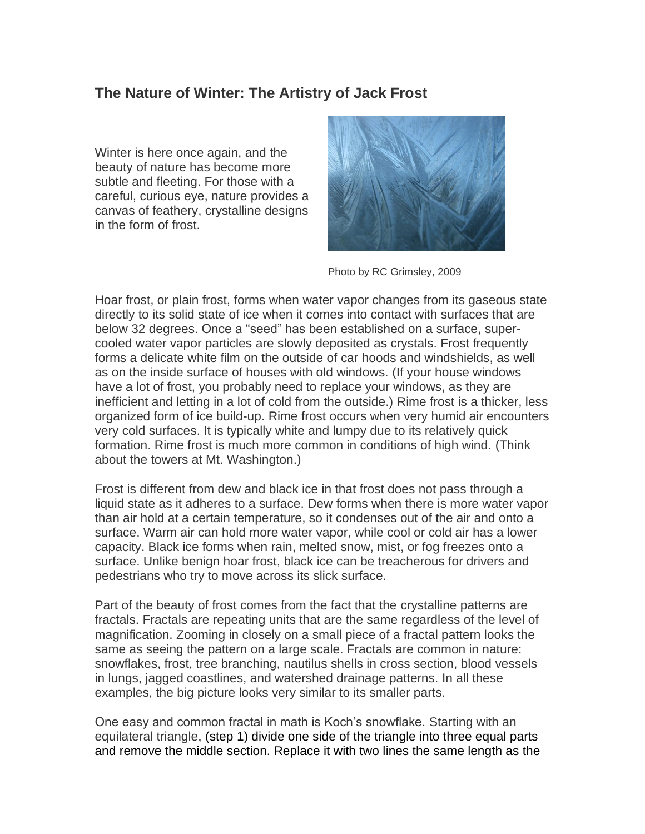## **The Nature of Winter: The Artistry of Jack Frost**

Winter is here once again, and the beauty of nature has become more subtle and fleeting. For those with a careful, curious eye, nature provides a canvas of feathery, crystalline designs in the form of frost.



Photo by RC Grimsley, 2009

Hoar frost, or plain frost, forms when water vapor changes from its gaseous state directly to its solid state of ice when it comes into contact with surfaces that are below 32 degrees. Once a "seed" has been established on a surface, supercooled water vapor particles are slowly deposited as crystals. Frost frequently forms a delicate white film on the outside of car hoods and windshields, as well as on the inside surface of houses with old windows. (If your house windows have a lot of frost, you probably need to replace your windows, as they are inefficient and letting in a lot of cold from the outside.) Rime frost is a thicker, less organized form of ice build-up. Rime frost occurs when very humid air encounters very cold surfaces. It is typically white and lumpy due to its relatively quick formation. Rime frost is much more common in conditions of high wind. (Think about the towers at Mt. Washington.)

Frost is different from dew and black ice in that frost does not pass through a liquid state as it adheres to a surface. Dew forms when there is more water vapor than air hold at a certain temperature, so it condenses out of the air and onto a surface. Warm air can hold more water vapor, while cool or cold air has a lower capacity. Black ice forms when rain, melted snow, mist, or fog freezes onto a surface. Unlike benign hoar frost, black ice can be treacherous for drivers and pedestrians who try to move across its slick surface.

Part of the beauty of frost comes from the fact that the crystalline patterns are fractals. Fractals are repeating units that are the same regardless of the level of magnification. Zooming in closely on a small piece of a fractal pattern looks the same as seeing the pattern on a large scale. Fractals are common in nature: snowflakes, frost, tree branching, nautilus shells in cross section, blood vessels in lungs, jagged coastlines, and watershed drainage patterns. In all these examples, the big picture looks very similar to its smaller parts.

One easy and common fractal in math is Koch's snowflake. Starting with an equilateral triangle, (step 1) divide one side of the triangle into three equal parts and remove the middle section. Replace it with two lines the same length as the